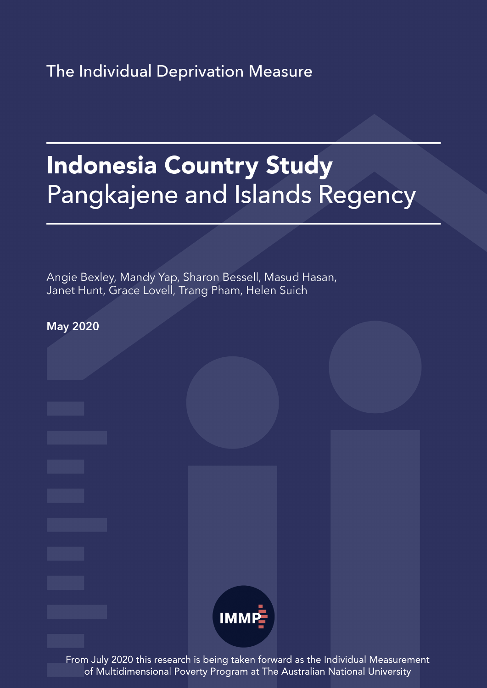The Individual Deprivation Measure

# **Indonesia Country Study** Pangkajene and Islands Regency

Angie Bexley, Mandy Yap, Sharon Bessell, Masud Hasan, Janet Hunt, Grace Lovell, Trang Pham, Helen Suich

| <b>May 2020</b> |       |                                                        |
|-----------------|-------|--------------------------------------------------------|
|                 |       |                                                        |
|                 |       |                                                        |
|                 |       |                                                        |
|                 |       |                                                        |
|                 |       |                                                        |
|                 |       |                                                        |
|                 | IMMP- |                                                        |
|                 |       | ia la aimar ta legan famoanal ga tha bhalltaigheal Mac |

2020 this research is being taken forward as the Individual Measurement of Multidimensional Poverty Program at The Australian National University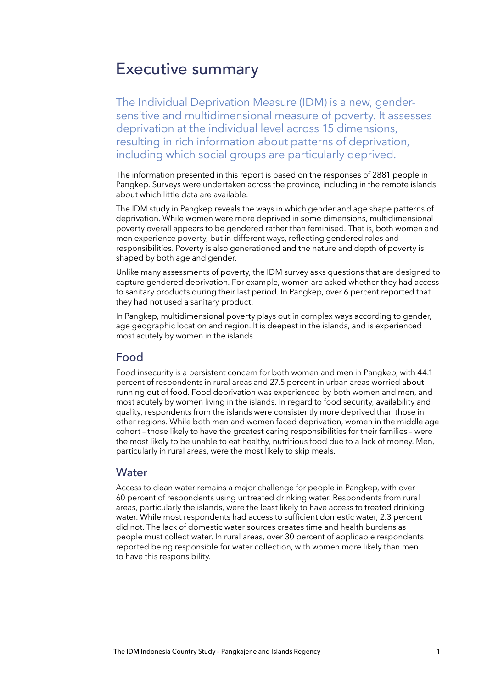# Executive summary

The Individual Deprivation Measure (IDM) is a new, gendersensitive and multidimensional measure of poverty. It assesses deprivation at the individual level across 15 dimensions, resulting in rich information about patterns of deprivation, including which social groups are particularly deprived.

The information presented in this report is based on the responses of 2881 people in Pangkep. Surveys were undertaken across the province, including in the remote islands about which little data are available.

The IDM study in Pangkep reveals the ways in which gender and age shape patterns of deprivation. While women were more deprived in some dimensions, multidimensional poverty overall appears to be gendered rather than feminised. That is, both women and men experience poverty, but in different ways, reflecting gendered roles and responsibilities. Poverty is also generationed and the nature and depth of poverty is shaped by both age and gender.

Unlike many assessments of poverty, the IDM survey asks questions that are designed to capture gendered deprivation. For example, women are asked whether they had access to sanitary products during their last period. In Pangkep, over 6 percent reported that they had not used a sanitary product.

In Pangkep, multidimensional poverty plays out in complex ways according to gender, age geographic location and region. It is deepest in the islands, and is experienced most acutely by women in the islands.

#### Food

Food insecurity is a persistent concern for both women and men in Pangkep, with 44.1 percent of respondents in rural areas and 27.5 percent in urban areas worried about running out of food. Food deprivation was experienced by both women and men, and most acutely by women living in the islands. In regard to food security, availability and quality, respondents from the islands were consistently more deprived than those in other regions. While both men and women faced deprivation, women in the middle age cohort – those likely to have the greatest caring responsibilities for their families – were the most likely to be unable to eat healthy, nutritious food due to a lack of money. Men, particularly in rural areas, were the most likely to skip meals.

#### **Water**

Access to clean water remains a major challenge for people in Pangkep, with over 60 percent of respondents using untreated drinking water. Respondents from rural areas, particularly the islands, were the least likely to have access to treated drinking water. While most respondents had access to sufficient domestic water, 2.3 percent did not. The lack of domestic water sources creates time and health burdens as people must collect water. In rural areas, over 30 percent of applicable respondents reported being responsible for water collection, with women more likely than men to have this responsibility.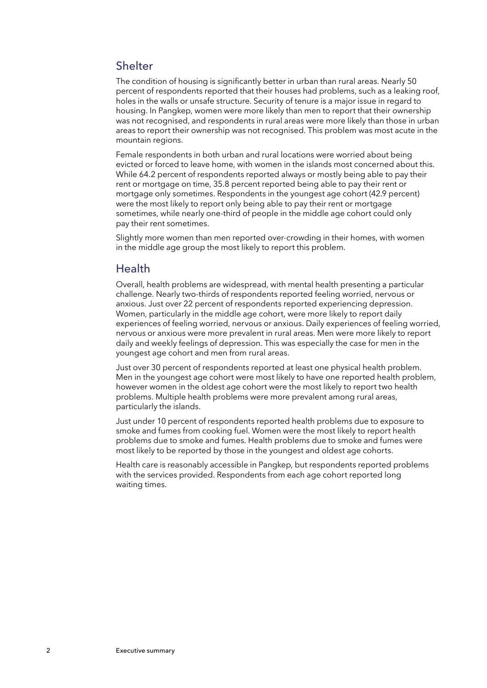# **Shelter**

The condition of housing is significantly better in urban than rural areas. Nearly 50 percent of respondents reported that their houses had problems, such as a leaking roof, holes in the walls or unsafe structure. Security of tenure is a major issue in regard to housing. In Pangkep, women were more likely than men to report that their ownership was not recognised, and respondents in rural areas were more likely than those in urban areas to report their ownership was not recognised. This problem was most acute in the mountain regions.

Female respondents in both urban and rural locations were worried about being evicted or forced to leave home, with women in the islands most concerned about this. While 64.2 percent of respondents reported always or mostly being able to pay their rent or mortgage on time, 35.8 percent reported being able to pay their rent or mortgage only sometimes. Respondents in the youngest age cohort (42.9 percent) were the most likely to report only being able to pay their rent or mortgage sometimes, while nearly one-third of people in the middle age cohort could only pay their rent sometimes.

Slightly more women than men reported over-crowding in their homes, with women in the middle age group the most likely to report this problem.

#### Health

Overall, health problems are widespread, with mental health presenting a particular challenge. Nearly two-thirds of respondents reported feeling worried, nervous or anxious. Just over 22 percent of respondents reported experiencing depression. Women, particularly in the middle age cohort, were more likely to report daily experiences of feeling worried, nervous or anxious. Daily experiences of feeling worried, nervous or anxious were more prevalent in rural areas. Men were more likely to report daily and weekly feelings of depression. This was especially the case for men in the youngest age cohort and men from rural areas.

Just over 30 percent of respondents reported at least one physical health problem. Men in the youngest age cohort were most likely to have one reported health problem, however women in the oldest age cohort were the most likely to report two health problems. Multiple health problems were more prevalent among rural areas, particularly the islands.

Just under 10 percent of respondents reported health problems due to exposure to smoke and fumes from cooking fuel. Women were the most likely to report health problems due to smoke and fumes. Health problems due to smoke and fumes were most likely to be reported by those in the youngest and oldest age cohorts.

Health care is reasonably accessible in Pangkep, but respondents reported problems with the services provided. Respondents from each age cohort reported long waiting times.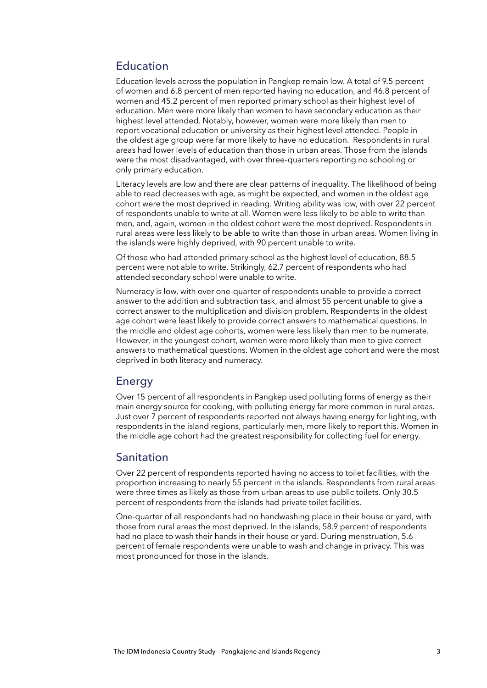# Education

Education levels across the population in Pangkep remain low. A total of 9.5 percent of women and 6.8 percent of men reported having no education, and 46.8 percent of women and 45.2 percent of men reported primary school as their highest level of education. Men were more likely than women to have secondary education as their highest level attended. Notably, however, women were more likely than men to report vocational education or university as their highest level attended. People in the oldest age group were far more likely to have no education. Respondents in rural areas had lower levels of education than those in urban areas. Those from the islands were the most disadvantaged, with over three-quarters reporting no schooling or only primary education.

Literacy levels are low and there are clear patterns of inequality. The likelihood of being able to read decreases with age, as might be expected, and women in the oldest age cohort were the most deprived in reading. Writing ability was low, with over 22 percent of respondents unable to write at all. Women were less likely to be able to write than men, and, again, women in the oldest cohort were the most deprived. Respondents in rural areas were less likely to be able to write than those in urban areas. Women living in the islands were highly deprived, with 90 percent unable to write.

Of those who had attended primary school as the highest level of education, 88.5 percent were not able to write. Strikingly, 62.7 percent of respondents who had attended secondary school were unable to write.

Numeracy is low, with over one-quarter of respondents unable to provide a correct answer to the addition and subtraction task, and almost 55 percent unable to give a correct answer to the multiplication and division problem. Respondents in the oldest age cohort were least likely to provide correct answers to mathematical questions. In the middle and oldest age cohorts, women were less likely than men to be numerate. However, in the youngest cohort, women were more likely than men to give correct answers to mathematical questions. Women in the oldest age cohort and were the most deprived in both literacy and numeracy.

#### Energy

Over 15 percent of all respondents in Pangkep used polluting forms of energy as their main energy source for cooking, with polluting energy far more common in rural areas. Just over 7 percent of respondents reported not always having energy for lighting, with respondents in the island regions, particularly men, more likely to report this. Women in the middle age cohort had the greatest responsibility for collecting fuel for energy.

#### Sanitation

Over 22 percent of respondents reported having no access to toilet facilities, with the proportion increasing to nearly 55 percent in the islands. Respondents from rural areas were three times as likely as those from urban areas to use public toilets. Only 30.5 percent of respondents from the islands had private toilet facilities.

One-quarter of all respondents had no handwashing place in their house or yard, with those from rural areas the most deprived. In the islands, 58.9 percent of respondents had no place to wash their hands in their house or yard. During menstruation, 5.6 percent of female respondents were unable to wash and change in privacy. This was most pronounced for those in the islands.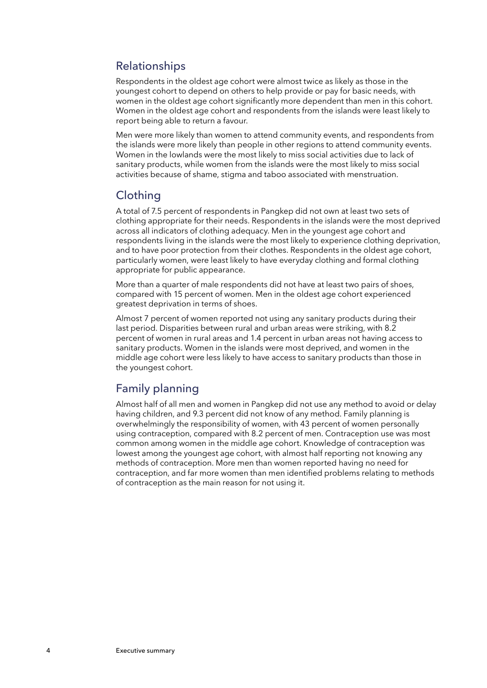# Relationships

Respondents in the oldest age cohort were almost twice as likely as those in the youngest cohort to depend on others to help provide or pay for basic needs, with women in the oldest age cohort significantly more dependent than men in this cohort. Women in the oldest age cohort and respondents from the islands were least likely to report being able to return a favour.

Men were more likely than women to attend community events, and respondents from the islands were more likely than people in other regions to attend community events. Women in the lowlands were the most likely to miss social activities due to lack of sanitary products, while women from the islands were the most likely to miss social activities because of shame, stigma and taboo associated with menstruation.

# Clothing

A total of 7.5 percent of respondents in Pangkep did not own at least two sets of clothing appropriate for their needs. Respondents in the islands were the most deprived across all indicators of clothing adequacy. Men in the youngest age cohort and respondents living in the islands were the most likely to experience clothing deprivation, and to have poor protection from their clothes. Respondents in the oldest age cohort, particularly women, were least likely to have everyday clothing and formal clothing appropriate for public appearance.

More than a quarter of male respondents did not have at least two pairs of shoes, compared with 15 percent of women. Men in the oldest age cohort experienced greatest deprivation in terms of shoes.

Almost 7 percent of women reported not using any sanitary products during their last period. Disparities between rural and urban areas were striking, with 8.2 percent of women in rural areas and 1.4 percent in urban areas not having access to sanitary products. Women in the islands were most deprived, and women in the middle age cohort were less likely to have access to sanitary products than those in the youngest cohort.

# Family planning

Almost half of all men and women in Pangkep did not use any method to avoid or delay having children, and 9.3 percent did not know of any method. Family planning is overwhelmingly the responsibility of women, with 43 percent of women personally using contraception, compared with 8.2 percent of men. Contraception use was most common among women in the middle age cohort. Knowledge of contraception was lowest among the youngest age cohort, with almost half reporting not knowing any methods of contraception. More men than women reported having no need for contraception, and far more women than men identified problems relating to methods of contraception as the main reason for not using it.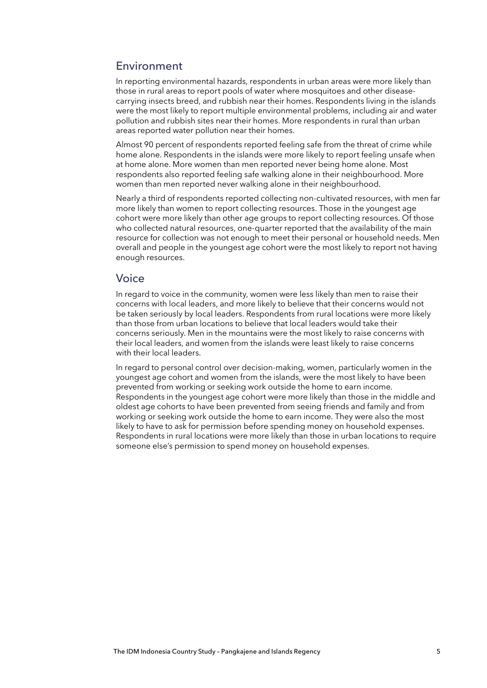# Environment

In reporting environmental hazards, respondents in urban areas were more likely than those in rural areas to report pools of water where mosquitoes and other diseasecarrying insects breed, and rubbish near their homes. Respondents living in the islands were the most likely to report multiple environmental problems, including air and water pollution and rubbish sites near their homes. More respondents in rural than urban areas reported water pollution near their homes.

Almost 90 percent of respondents reported feeling safe from the threat of crime while home alone. Respondents in the islands were more likely to report feeling unsafe when at home alone. More women than men reported never being home alone. Most respondents also reported feeling safe walking alone in their neighbourhood. More women than men reported never walking alone in their neighbourhood.

Nearly a third of respondents reported collecting non-cultivated resources, with men far more likely than women to report collecting resources. Those in the youngest age cohort were more likely than other age groups to report collecting resources. Of those who collected natural resources, one-quarter reported that the availability of the main resource for collection was not enough to meet their personal or household needs. Men overall and people in the youngest age cohort were the most likely to report not having enough resources.

#### Voice

In regard to voice in the community, women were less likely than men to raise their concerns with local leaders, and more likely to believe that their concerns would not be taken seriously by local leaders. Respondents from rural locations were more likely than those from urban locations to believe that local leaders would take their concerns seriously. Men in the mountains were the most likely to raise concerns with their local leaders, and women from the islands were least likely to raise concerns with their local leaders.

In regard to personal control over decision-making, women, particularly women in the youngest age cohort and women from the islands, were the most likely to have been prevented from working or seeking work outside the home to earn income. Respondents in the youngest age cohort were more likely than those in the middle and oldest age cohorts to have been prevented from seeing friends and family and from working or seeking work outside the home to earn income. They were also the most likely to have to ask for permission before spending money on household expenses. Respondents in rural locations were more likely than those in urban locations to require someone else's permission to spend money on household expenses.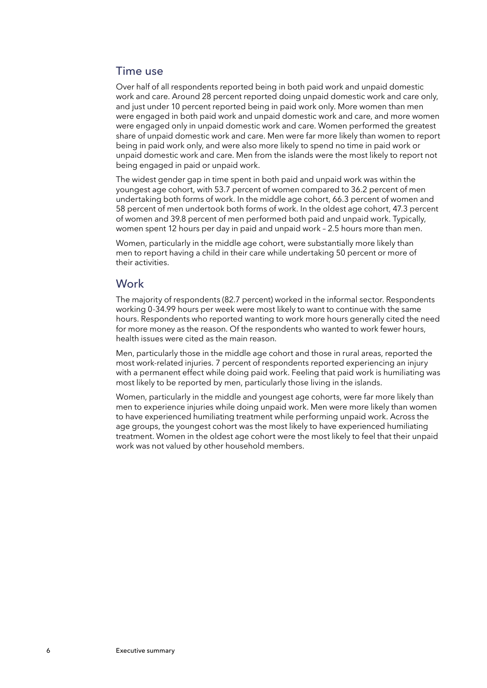#### Time use

Over half of all respondents reported being in both paid work and unpaid domestic work and care. Around 28 percent reported doing unpaid domestic work and care only, and just under 10 percent reported being in paid work only. More women than men were engaged in both paid work and unpaid domestic work and care, and more women were engaged only in unpaid domestic work and care. Women performed the greatest share of unpaid domestic work and care. Men were far more likely than women to report being in paid work only, and were also more likely to spend no time in paid work or unpaid domestic work and care. Men from the islands were the most likely to report not being engaged in paid or unpaid work.

The widest gender gap in time spent in both paid and unpaid work was within the youngest age cohort, with 53.7 percent of women compared to 36.2 percent of men undertaking both forms of work. In the middle age cohort, 66.3 percent of women and 58 percent of men undertook both forms of work. In the oldest age cohort, 47.3 percent of women and 39.8 percent of men performed both paid and unpaid work. Typically, women spent 12 hours per day in paid and unpaid work – 2.5 hours more than men.

Women, particularly in the middle age cohort, were substantially more likely than men to report having a child in their care while undertaking 50 percent or more of their activities.

#### Work

The majority of respondents (82.7 percent) worked in the informal sector. Respondents working 0-34.99 hours per week were most likely to want to continue with the same hours. Respondents who reported wanting to work more hours generally cited the need for more money as the reason. Of the respondents who wanted to work fewer hours, health issues were cited as the main reason.

Men, particularly those in the middle age cohort and those in rural areas, reported the most work-related injuries. 7 percent of respondents reported experiencing an injury with a permanent effect while doing paid work. Feeling that paid work is humiliating was most likely to be reported by men, particularly those living in the islands.

Women, particularly in the middle and youngest age cohorts, were far more likely than men to experience injuries while doing unpaid work. Men were more likely than women to have experienced humiliating treatment while performing unpaid work. Across the age groups, the youngest cohort was the most likely to have experienced humiliating treatment. Women in the oldest age cohort were the most likely to feel that their unpaid work was not valued by other household members.